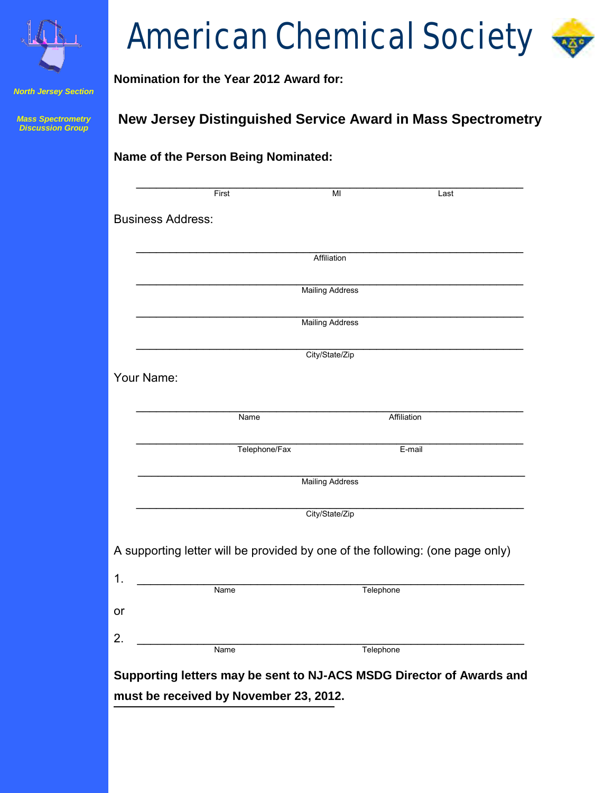

*North Jersey Section*

*Mass Spectrometry Discussion Group*

# American Chemical Society

## **Nomination for the Year 2012 Award for:**

**Name of the Person Being Nominated:** 

## **New Jersey Distinguished Service Award in Mass Spectrometry**

|                          | First                                                                         | MI                     | Last |
|--------------------------|-------------------------------------------------------------------------------|------------------------|------|
| <b>Business Address:</b> |                                                                               |                        |      |
|                          |                                                                               | Affiliation            |      |
|                          |                                                                               | <b>Mailing Address</b> |      |
|                          |                                                                               | <b>Mailing Address</b> |      |
|                          |                                                                               | City/State/Zip         |      |
| Your Name:               |                                                                               |                        |      |
|                          | Name                                                                          | Affiliation            |      |
|                          | Telephone/Fax                                                                 | E-mail                 |      |
|                          |                                                                               | <b>Mailing Address</b> |      |
|                          |                                                                               | City/State/Zip         |      |
|                          | A supporting letter will be provided by one of the following: (one page only) |                        |      |
|                          |                                                                               |                        |      |
|                          | Name                                                                          | Telephone              |      |
|                          |                                                                               |                        |      |
|                          | Name                                                                          | Telephone              |      |
|                          |                                                                               |                        |      |